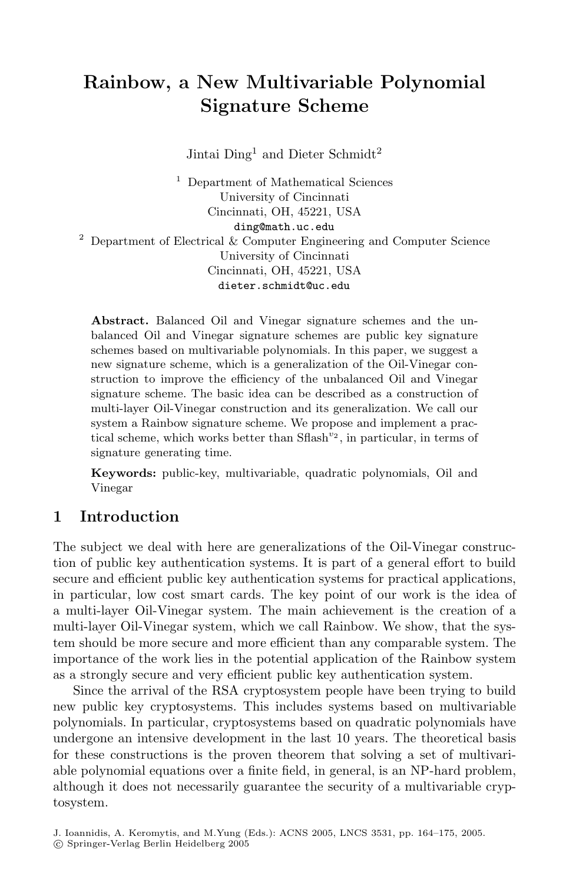# **Rainbow, a New Multivariable Polynomial Signature Scheme**

Jintai  $\text{Ding}^1$  and  $\text{Dieter Schmidt}^2$ 

<sup>1</sup> Department of Mathematical Sciences University of Cincinnati Cincinnati, OH, 45221, USA ding@math.uc.edu <sup>2</sup> Department of Electrical & Computer Engineering and Computer Science University of Cincinnati Cincinnati, OH, 45221, USA dieter.schmidt@uc.edu

**Abstract.** Balanced Oil and Vinegar signature schemes and the unbalanced Oil and Vinegar signature schemes are public key signature schemes based on multivariable polynomials. In this paper, we suggest a new signature scheme, which is a generalization of the Oil-Vinegar construction to improve the efficiency of the unbalanced Oil and Vinegar signature scheme. The basic idea can be described as a construction of multi-layer Oil-Vinegar construction and its generalization. We call our system a Rainbow signature scheme. We propose and implement a practical scheme, which works better than Sflash*<sup>v</sup>*<sup>2</sup> , in particular, in terms of signature generating time.

**Keywords:** public-key, multivariable, quadratic polynomials, Oil and Vinegar

## **1 Introduction**

The subject we deal with here are generalizations of the Oil-Vinegar construction of public key authentication systems. It is part of a general effort to build secure and efficient public key authentication systems for practical applications, in particular, low cost smart cards. The key point of our work is the idea of a multi-layer Oil-Vinegar system. The main achievement is the creation of a multi-layer Oil-Vinegar system, which we call Rainbow. We show, that the system should be more secure and more efficient than any comparable system. The importance of the work lies in the potential application of the Rainbow system as a strongly secure and very efficient public key authentication system.

Since the arrival of the RSA cryptosystem people have been trying to build new public key cryptosystems. This includes systems based on multivariable polynomials. In particular, cryptosystems based on quadratic polynomials have undergone an intensive development in the last 10 years. The theoretical basis for these constructions is the proven theorem that solving a set of multivariable polynomial equations over a finite field, in general, is an NP-hard problem, although it does not necessarily guarantee the security of a multivariable cryptosystem.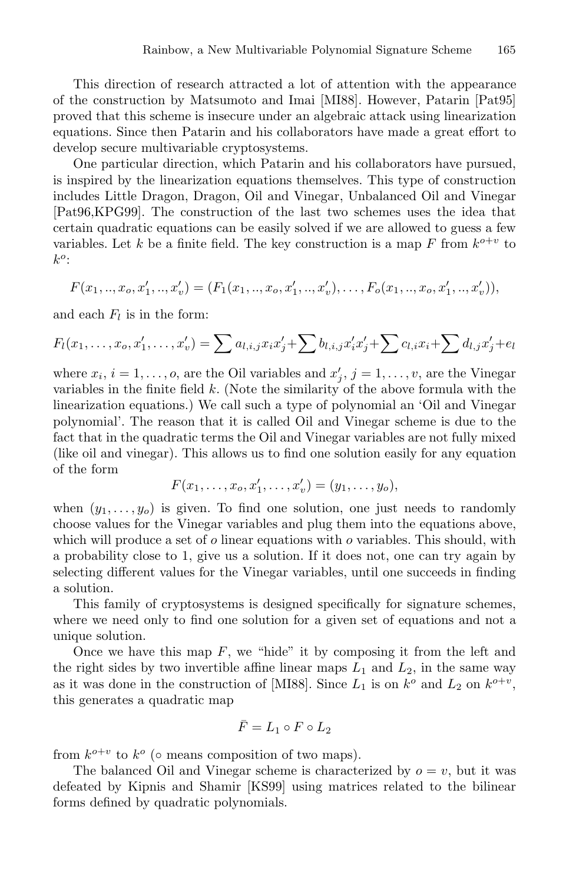This direction of research attracted a lot of attention with the appearance of the construction by Matsumoto and Imai [MI88]. However, Patarin [Pat95] proved that this scheme is insecure under an algebraic attack using linearization equations. Since then Patarin and his collaborators have made a great effort to develop secure multivariable cryptosystems.

One particular direction, which Patarin and his collaborators have pursued, is inspired by the linearization equations themselves. This type of construction includes Little Dragon, Dragon, Oil and Vinegar, Unbalanced Oil and Vinegar [Pat96,KPG99]. The construction of the last two schemes uses the idea that certain quadratic equations can be easily solved if we are allowed to guess a few variables. Let k be a finite field. The key construction is a map F from  $k^{o+v}$  to  $k^o$ :

$$
F(x_1,..,x_o,x'_1,..,x'_v) = (F_1(x_1,..,x_o,x'_1,..,x'_v),...,F_o(x_1,..,x_o,x'_1,..,x'_v)),
$$

and each  $F_l$  is in the form:

$$
F_l(x_1,\ldots,x_o,x'_1,\ldots,x'_v) = \sum a_{l,i,j}x_ix'_j + \sum b_{l,i,j}x'_ix'_j + \sum c_{l,i}x_i + \sum d_{l,j}x'_j + e_l
$$

where  $x_i$ ,  $i = 1, \ldots, o$ , are the Oil variables and  $x'_j$ ,  $j = 1, \ldots, v$ , are the Vinegar variables in the finite field  $k$ . (Note the similarity of the above formula with the linearization equations.) We call such a type of polynomial an 'Oil and Vinegar polynomial'. The reason that it is called Oil and Vinegar scheme is due to the fact that in the quadratic terms the Oil and Vinegar variables are not fully mixed (like oil and vinegar). This allows us to find one solution easily for any equation of the form

$$
F(x_1, \ldots, x_o, x'_1, \ldots, x'_v) = (y_1, \ldots, y_o),
$$

when  $(y_1,\ldots,y_o)$  is given. To find one solution, one just needs to randomly choose values for the Vinegar variables and plug them into the equations above, which will produce a set of  $o$  linear equations with  $o$  variables. This should, with a probability close to 1, give us a solution. If it does not, one can try again by selecting different values for the Vinegar variables, until one succeeds in finding a solution.

This family of cryptosystems is designed specifically for signature schemes, where we need only to find one solution for a given set of equations and not a unique solution.

Once we have this map  $F$ , we "hide" it by composing it from the left and the right sides by two invertible affine linear maps  $L_1$  and  $L_2$ , in the same way as it was done in the construction of [MI88]. Since  $L_1$  is on  $k^o$  and  $L_2$  on  $k^{o+v}$ , this generates a quadratic map

$$
\bar{F} = L_1 \circ F \circ L_2
$$

from  $k^{o+v}$  to  $k^o$  ( $\circ$  means composition of two maps).

The balanced Oil and Vinegar scheme is characterized by  $o = v$ , but it was defeated by Kipnis and Shamir [KS99] using matrices related to the bilinear forms defined by quadratic polynomials.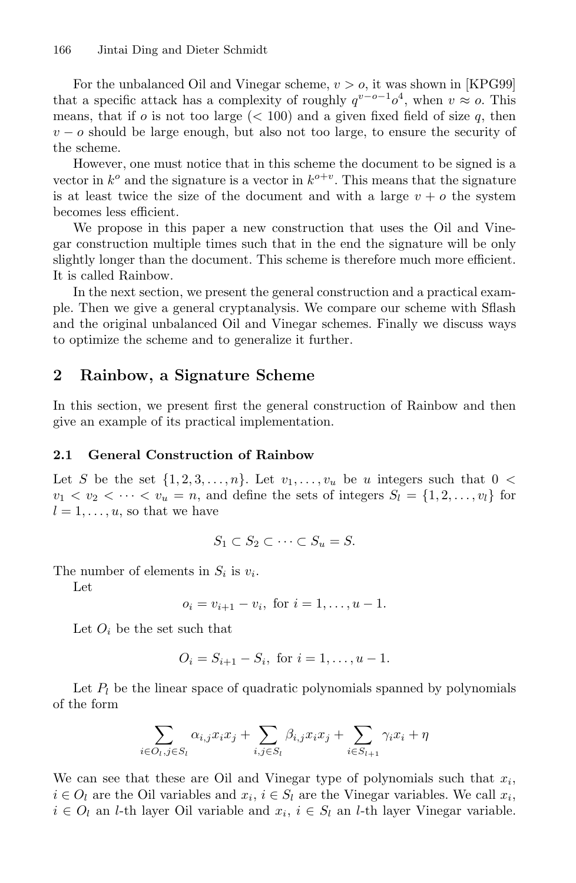For the unbalanced Oil and Vinegar scheme,  $v > o$ , it was shown in [KPG99] that a specific attack has a complexity of roughly  $q^{v-o-1}o^4$ , when  $v \approx o$ . This means, that if o is not too large  $(< 100$ ) and a given fixed field of size q, then  $v - o$  should be large enough, but also not too large, to ensure the security of the scheme.

However, one must notice that in this scheme the document to be signed is a vector in  $k^o$  and the signature is a vector in  $k^{o+v}$ . This means that the signature is at least twice the size of the document and with a large  $v + o$  the system becomes less efficient.

We propose in this paper a new construction that uses the Oil and Vinegar construction multiple times such that in the end the signature will be only slightly longer than the document. This scheme is therefore much more efficient. It is called Rainbow.

In the next section, we present the general construction and a practical example. Then we give a general cryptanalysis. We compare our scheme with Sflash and the original unbalanced Oil and Vinegar schemes. Finally we discuss ways to optimize the scheme and to generalize it further.

## **2 Rainbow, a Signature Scheme**

In this section, we present first the general construction of Rainbow and then give an example of its practical implementation.

## **2.1 General Construction of Rainbow**

Let S be the set  $\{1, 2, 3, \ldots, n\}$ . Let  $v_1, \ldots, v_u$  be u integers such that  $0 <$  $v_1 < v_2 < \cdots < v_u = n$ , and define the sets of integers  $S_l = \{1, 2, \ldots, v_l\}$  for  $l = 1, \ldots, u$ , so that we have

$$
S_1 \subset S_2 \subset \cdots \subset S_u = S.
$$

The number of elements in  $S_i$  is  $v_i$ .

Let

$$
o_i = v_{i+1} - v_i, \text{ for } i = 1, \dots, u - 1.
$$

Let  $O_i$  be the set such that

$$
O_i = S_{i+1} - S_i, \text{ for } i = 1, ..., u - 1.
$$

Let  $P_l$  be the linear space of quadratic polynomials spanned by polynomials of the form

$$
\sum_{i \in O_l, j \in S_l} \alpha_{i,j} x_i x_j + \sum_{i,j \in S_l} \beta_{i,j} x_i x_j + \sum_{i \in S_{l+1}} \gamma_i x_i + \eta
$$

We can see that these are Oil and Vinegar type of polynomials such that  $x_i$ ,  $i \in O_l$  are the Oil variables and  $x_i, i \in S_l$  are the Vinegar variables. We call  $x_i$ ,  $i \in O_l$  an l-th layer Oil variable and  $x_i$ ,  $i \in S_l$  an l-th layer Vinegar variable.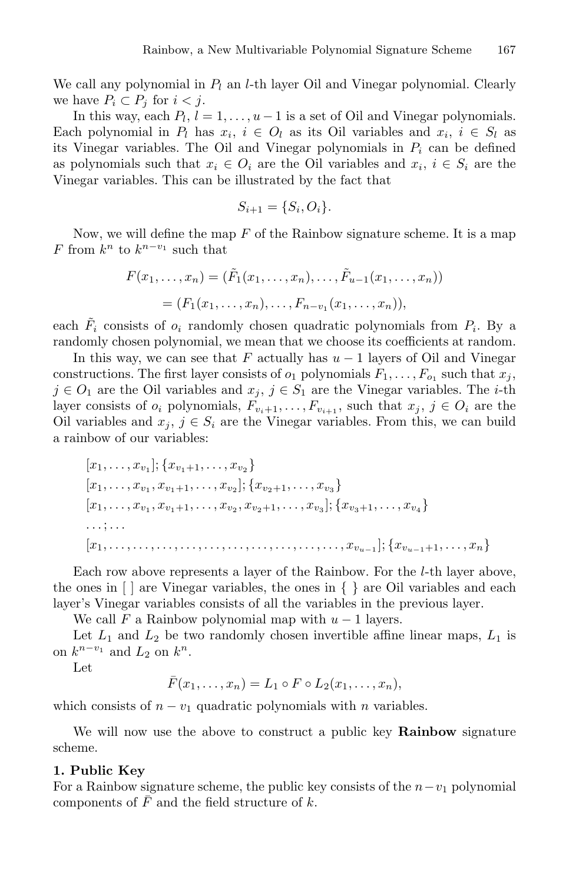We call any polynomial in  $P_l$  an *l*-th layer Oil and Vinegar polynomial. Clearly we have  $P_i \subset P_j$  for  $i < j$ .

In this way, each  $P_l$ ,  $l = 1, \ldots, u-1$  is a set of Oil and Vinegar polynomials. Each polynomial in  $P_l$  has  $x_i, i \in O_l$  as its Oil variables and  $x_i, i \in S_l$  as its Vinegar variables. The Oil and Vinegar polynomials in  $P_i$  can be defined as polynomials such that  $x_i \in O_i$  are the Oil variables and  $x_i, i \in S_i$  are the Vinegar variables. This can be illustrated by the fact that

$$
S_{i+1} = \{S_i, O_i\}.
$$

Now, we will define the map  $F$  of the Rainbow signature scheme. It is a map F from  $k^n$  to  $k^{n-v_1}$  such that

$$
F(x_1,...,x_n) = (\tilde{F}_1(x_1,...,x_n),..., \tilde{F}_{u-1}(x_1,...,x_n))
$$
  
=  $(F_1(x_1,...,x_n),..., F_{n-v_1}(x_1,...,x_n)),$ 

each  $\tilde{F}_i$  consists of  $o_i$  randomly chosen quadratic polynomials from  $P_i$ . By a randomly chosen polynomial, we mean that we choose its coefficients at random.

In this way, we can see that F actually has  $u - 1$  layers of Oil and Vinegar constructions. The first layer consists of  $o_1$  polynomials  $F_1, \ldots, F_{o_1}$  such that  $x_j$ ,  $j \in O_1$  are the Oil variables and  $x_j, j \in S_1$  are the Vinegar variables. The *i*-th layer consists of  $o_i$  polynomials,  $F_{v_i+1},...,F_{v_{i+1}}$ , such that  $x_j, j \in O_i$  are the Oil variables and  $x_j, j \in S_i$  are the Vinegar variables. From this, we can build a rainbow of our variables:

[x1,...,x<sup>v</sup><sup>1</sup> ]; {x<sup>v</sup>1+1,...,x<sup>v</sup><sup>2</sup> } [x1,...,x<sup>v</sup><sup>1</sup> , x<sup>v</sup>1+1,...,x<sup>v</sup><sup>2</sup> ]; {x<sup>v</sup>2+1,...,x<sup>v</sup><sup>3</sup> } [x1,...,x<sup>v</sup><sup>1</sup> , x<sup>v</sup>1+1,...,x<sup>v</sup><sup>2</sup> , x<sup>v</sup>2+1,...,x<sup>v</sup><sup>3</sup> ]; {x<sup>v</sup>3+1,...,x<sup>v</sup><sup>4</sup> } ... ; ... [x1,...,...,...,...,...,...,...,...,...,...,x<sup>v</sup>*u−*<sup>1</sup> ]; {x<sup>v</sup>*u−*1+1,...,xn}

Each row above represents a layer of the Rainbow. For the l-th layer above, the ones in [ ] are Vinegar variables, the ones in { } are Oil variables and each layer's Vinegar variables consists of all the variables in the previous layer.

We call F a Rainbow polynomial map with  $u - 1$  layers.

Let  $L_1$  and  $L_2$  be two randomly chosen invertible affine linear maps,  $L_1$  is on  $k^{n-v_1}$  and  $L_2$  on  $k^n$ .

Let

$$
\bar{F}(x_1,\ldots,x_n)=L_1\circ F\circ L_2(x_1,\ldots,x_n),
$$

which consists of  $n - v_1$  quadratic polynomials with n variables.

We will now use the above to construct a public key **Rainbow** signature scheme.

#### **1. Public Key**

For a Rainbow signature scheme, the public key consists of the  $n-v_1$  polynomial components of  $\overline{F}$  and the field structure of k.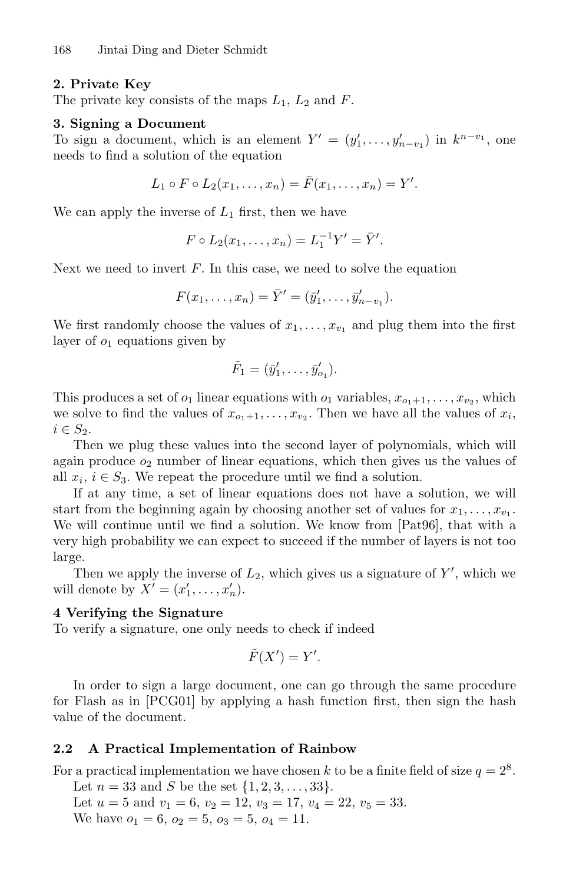### **2. Private Key**

The private key consists of the maps  $L_1$ ,  $L_2$  and  $F$ .

#### **3. Signing a Document**

To sign a document, which is an element  $Y' = (y'_1, \ldots, y'_{n-v_1})$  in  $k^{n-v_1}$ , one needs to find a solution of the equation

$$
L_1 \circ F \circ L_2(x_1, \ldots, x_n) = \bar{F}(x_1, \ldots, x_n) = Y'.
$$

We can apply the inverse of  $L_1$  first, then we have

$$
F \circ L_2(x_1, \ldots, x_n) = L_1^{-1} Y' = \bar{Y}'.
$$

Next we need to invert  $F$ . In this case, we need to solve the equation

$$
F(x_1,...,x_n) = \bar{Y}' = (\bar{y}'_1,...,\bar{y}'_{n-v_1}).
$$

We first randomly choose the values of  $x_1, \ldots, x_{v_1}$  and plug them into the first layer of  $o_1$  equations given by

$$
\tilde{F}_1=(\bar{y}'_1,\ldots,\bar{y}'_{o_1}).
$$

This produces a set of  $o_1$  linear equations with  $o_1$  variables,  $x_{o_1+1},...,x_{v_2}$ , which we solve to find the values of  $x_{o_1+1},\ldots,x_{v_2}$ . Then we have all the values of  $x_i$ ,  $i \in S_2$ .

Then we plug these values into the second layer of polynomials, which will again produce  $o_2$  number of linear equations, which then gives us the values of all  $x_i, i \in S_3$ . We repeat the procedure until we find a solution.

If at any time, a set of linear equations does not have a solution, we will start from the beginning again by choosing another set of values for  $x_1, \ldots, x_v,$ . We will continue until we find a solution. We know from [Pat96], that with a very high probability we can expect to succeed if the number of layers is not too large.

Then we apply the inverse of  $L_2$ , which gives us a signature of  $Y'$ , which we will denote by  $X' = (x'_1, \ldots, x'_n)$ .

### **4 Verifying the Signature**

To verify a signature, one only needs to check if indeed

$$
\tilde{F}(X') = Y'.
$$

In order to sign a large document, one can go through the same procedure for Flash as in [PCG01] by applying a hash function first, then sign the hash value of the document.

#### **2.2 A Practical Implementation of Rainbow**

For a practical implementation we have chosen k to be a finite field of size  $q = 2^8$ . Let  $n = 33$  and S be the set  $\{1, 2, 3, \ldots, 33\}.$ 

Let  $u = 5$  and  $v_1 = 6$ ,  $v_2 = 12$ ,  $v_3 = 17$ ,  $v_4 = 22$ ,  $v_5 = 33$ . We have  $o_1 = 6$ ,  $o_2 = 5$ ,  $o_3 = 5$ ,  $o_4 = 11$ .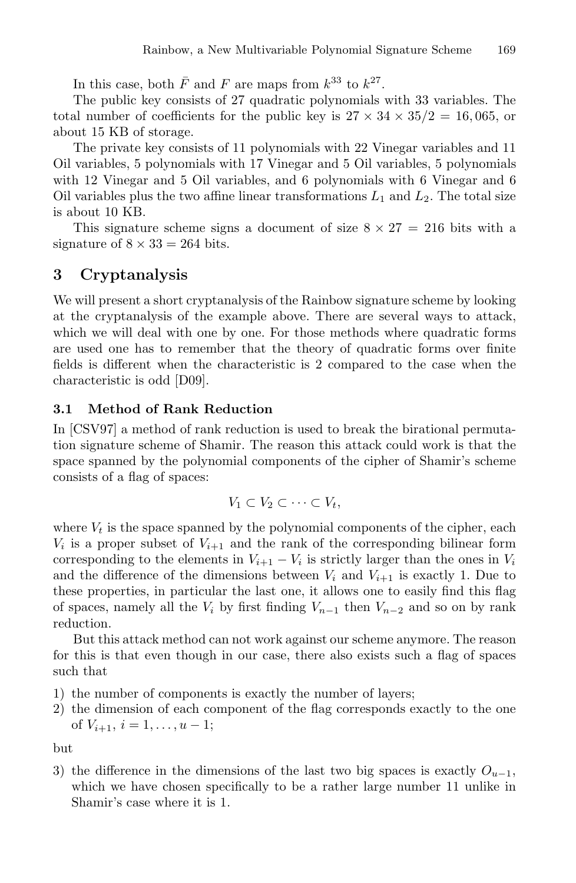In this case, both  $\bar{F}$  and F are maps from  $k^{33}$  to  $k^{27}$ .

The public key consists of 27 quadratic polynomials with 33 variables. The total number of coefficients for the public key is  $27 \times 34 \times 35/2 = 16,065$ , or about 15 KB of storage.

The private key consists of 11 polynomials with 22 Vinegar variables and 11 Oil variables, 5 polynomials with 17 Vinegar and 5 Oil variables, 5 polynomials with 12 Vinegar and 5 Oil variables, and 6 polynomials with 6 Vinegar and 6 Oil variables plus the two affine linear transformations  $L_1$  and  $L_2$ . The total size is about 10 KB.

This signature scheme signs a document of size  $8 \times 27 = 216$  bits with a signature of  $8 \times 33 = 264$  bits.

## **3 Cryptanalysis**

We will present a short cryptanalysis of the Rainbow signature scheme by looking at the cryptanalysis of the example above. There are several ways to attack, which we will deal with one by one. For those methods where quadratic forms are used one has to remember that the theory of quadratic forms over finite fields is different when the characteristic is 2 compared to the case when the characteristic is odd [D09].

## **3.1 Method of Rank Reduction**

In [CSV97] a method of rank reduction is used to break the birational permutation signature scheme of Shamir. The reason this attack could work is that the space spanned by the polynomial components of the cipher of Shamir's scheme consists of a flag of spaces:

$$
V_1 \subset V_2 \subset \cdots \subset V_t,
$$

where  $V_t$  is the space spanned by the polynomial components of the cipher, each  $V_i$  is a proper subset of  $V_{i+1}$  and the rank of the corresponding bilinear form corresponding to the elements in  $V_{i+1} - V_i$  is strictly larger than the ones in  $V_i$ and the difference of the dimensions between  $V_i$  and  $V_{i+1}$  is exactly 1. Due to these properties, in particular the last one, it allows one to easily find this flag of spaces, namely all the  $V_i$  by first finding  $V_{n-1}$  then  $V_{n-2}$  and so on by rank reduction.

But this attack method can not work against our scheme anymore. The reason for this is that even though in our case, there also exists such a flag of spaces such that

- 1) the number of components is exactly the number of layers;
- 2) the dimension of each component of the flag corresponds exactly to the one of  $V_{i+1}, i = 1, \ldots, u-1;$

but

3) the difference in the dimensions of the last two big spaces is exactly  $O_{u-1}$ , which we have chosen specifically to be a rather large number 11 unlike in Shamir's case where it is 1.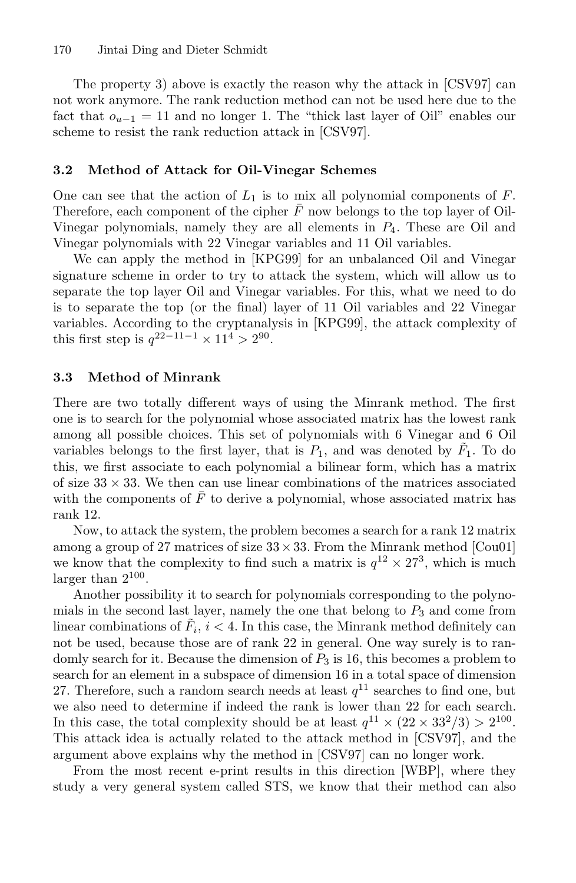The property 3) above is exactly the reason why the attack in [CSV97] can not work anymore. The rank reduction method can not be used here due to the fact that  $o_{u-1} = 11$  and no longer 1. The "thick last layer of Oil" enables our scheme to resist the rank reduction attack in [CSV97].

#### **3.2 Method of Attack for Oil-Vinegar Schemes**

One can see that the action of  $L_1$  is to mix all polynomial components of F. Therefore, each component of the cipher  $F$  now belongs to the top layer of Oil-Vinegar polynomials, namely they are all elements in  $P_4$ . These are Oil and Vinegar polynomials with 22 Vinegar variables and 11 Oil variables.

We can apply the method in [KPG99] for an unbalanced Oil and Vinegar signature scheme in order to try to attack the system, which will allow us to separate the top layer Oil and Vinegar variables. For this, what we need to do is to separate the top (or the final) layer of 11 Oil variables and 22 Vinegar variables. According to the cryptanalysis in [KPG99], the attack complexity of this first step is  $q^{22-11-1} \times 11^4 > 2^{90}$ .

### **3.3 Method of Minrank**

There are two totally different ways of using the Minrank method. The first one is to search for the polynomial whose associated matrix has the lowest rank among all possible choices. This set of polynomials with 6 Vinegar and 6 Oil variables belongs to the first layer, that is  $P_1$ , and was denoted by  $F_1$ . To do this, we first associate to each polynomial a bilinear form, which has a matrix of size  $33 \times 33$ . We then can use linear combinations of the matrices associated with the components of  $\bar{F}$  to derive a polynomial, whose associated matrix has rank 12.

Now, to attack the system, the problem becomes a search for a rank 12 matrix among a group of 27 matrices of size  $33 \times 33$ . From the Minrank method [Cou01] we know that the complexity to find such a matrix is  $q^{12} \times 27^3$ , which is much larger than  $2^{100}$ .

Another possibility it to search for polynomials corresponding to the polynomials in the second last layer, namely the one that belong to  $P_3$  and come from linear combinations of  $F_i$ ,  $i < 4$ . In this case, the Minrank method definitely can not be used, because those are of rank 22 in general. One way surely is to randomly search for it. Because the dimension of  $P_3$  is 16, this becomes a problem to search for an element in a subspace of dimension 16 in a total space of dimension 27. Therefore, such a random search needs at least  $q^{11}$  searches to find one, but we also need to determine if indeed the rank is lower than 22 for each search. In this case, the total complexity should be at least  $q^{11} \times (22 \times 33^2/3) > 2^{100}$ . This attack idea is actually related to the attack method in [CSV97], and the argument above explains why the method in [CSV97] can no longer work.

From the most recent e-print results in this direction [WBP], where they study a very general system called STS, we know that their method can also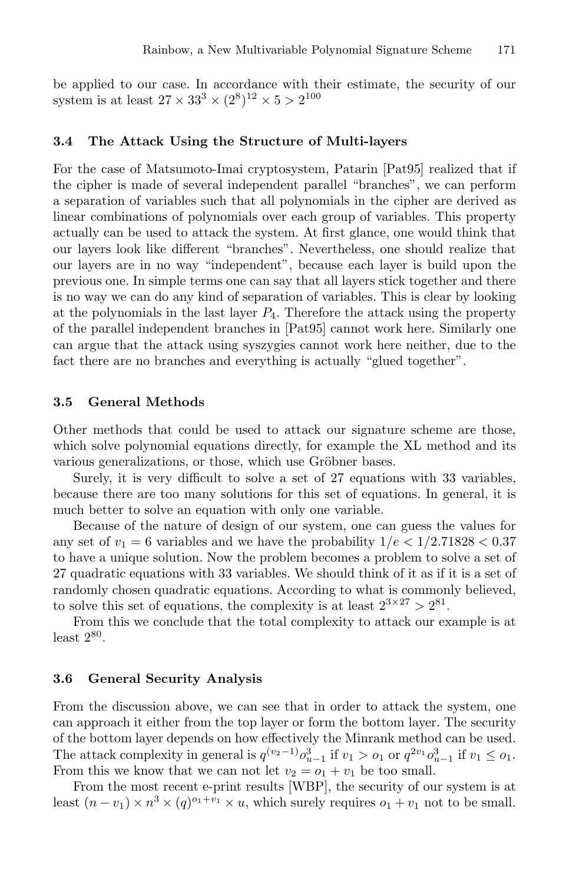be applied to our case. In accordance with their estimate, the security of our system is at least  $27 \times 33^3 \times (2^8)^{12} \times 5 > 2^{100}$ 

#### **3.4 The Attack Using the Structure of Multi-layers**

For the case of Matsumoto-Imai cryptosystem, Patarin [Pat95] realized that if the cipher is made of several independent parallel "branches", we can perform a separation of variables such that all polynomials in the cipher are derived as linear combinations of polynomials over each group of variables. This property actually can be used to attack the system. At first glance, one would think that our layers look like different "branches". Nevertheless, one should realize that our layers are in no way "independent", because each layer is build upon the previous one. In simple terms one can say that all layers stick together and there is no way we can do any kind of separation of variables. This is clear by looking at the polynomials in the last layer  $P_4$ . Therefore the attack using the property of the parallel independent branches in [Pat95] cannot work here. Similarly one can argue that the attack using syszygies cannot work here neither, due to the fact there are no branches and everything is actually "glued together".

#### **3.5 General Methods**

Other methods that could be used to attack our signature scheme are those, which solve polynomial equations directly, for example the XL method and its various generalizations, or those, which use Gröbner bases.

Surely, it is very difficult to solve a set of 27 equations with 33 variables, because there are too many solutions for this set of equations. In general, it is much better to solve an equation with only one variable.

Because of the nature of design of our system, one can guess the values for any set of  $v_1 = 6$  variables and we have the probability  $1/e < 1/2.71828 < 0.37$ to have a unique solution. Now the problem becomes a problem to solve a set of 27 quadratic equations with 33 variables. We should think of it as if it is a set of randomly chosen quadratic equations. According to what is commonly believed, to solve this set of equations, the complexity is at least  $2^{3 \times 27} > 2^{81}$ .

From this we conclude that the total complexity to attack our example is at least  $2^{80}$ .

#### **3.6 General Security Analysis**

From the discussion above, we can see that in order to attack the system, one can approach it either from the top layer or form the bottom layer. The security of the bottom layer depends on how effectively the Minrank method can be used. The attack complexity in general is  $q^{(v_2-1)} \partial_{u-1}^3$  if  $v_1 > o_1$  or  $q^{2v_1} \partial_{u-1}^3$  if  $v_1 \leq o_1$ . From this we know that we can not let  $v_2 = o_1 + v_1$  be too small.

From the most recent e-print results [WBP], the security of our system is at least  $(n - v_1) \times n^3 \times (q)^{o_1+v_1} \times u$ , which surely requires  $o_1 + v_1$  not to be small.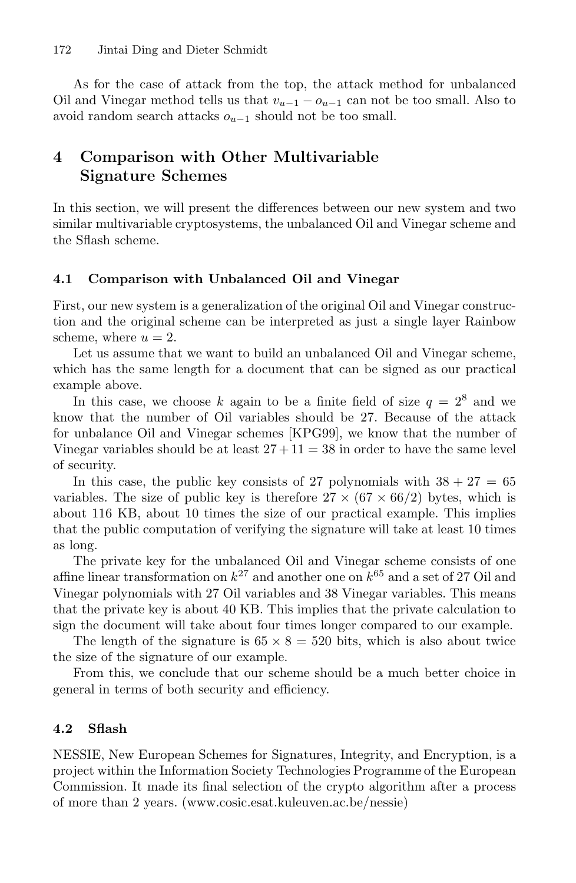As for the case of attack from the top, the attack method for unbalanced Oil and Vinegar method tells us that  $v_{u-1} - o_{u-1}$  can not be too small. Also to avoid random search attacks  $o_{u-1}$  should not be too small.

## **4 Comparison with Other Multivariable Signature Schemes**

In this section, we will present the differences between our new system and two similar multivariable cryptosystems, the unbalanced Oil and Vinegar scheme and the Sflash scheme.

## **4.1 Comparison with Unbalanced Oil and Vinegar**

First, our new system is a generalization of the original Oil and Vinegar construction and the original scheme can be interpreted as just a single layer Rainbow scheme, where  $u = 2$ .

Let us assume that we want to build an unbalanced Oil and Vinegar scheme, which has the same length for a document that can be signed as our practical example above.

In this case, we choose k again to be a finite field of size  $q = 2^8$  and we know that the number of Oil variables should be 27. Because of the attack for unbalance Oil and Vinegar schemes [KPG99], we know that the number of Vinegar variables should be at least  $27 + 11 = 38$  in order to have the same level of security.

In this case, the public key consists of 27 polynomials with  $38 + 27 = 65$ variables. The size of public key is therefore  $27 \times (67 \times 66/2)$  bytes, which is about 116 KB, about 10 times the size of our practical example. This implies that the public computation of verifying the signature will take at least 10 times as long.

The private key for the unbalanced Oil and Vinegar scheme consists of one affine linear transformation on  $k^{27}$  and another one on  $k^{65}$  and a set of 27 Oil and Vinegar polynomials with 27 Oil variables and 38 Vinegar variables. This means that the private key is about 40 KB. This implies that the private calculation to sign the document will take about four times longer compared to our example.

The length of the signature is  $65 \times 8 = 520$  bits, which is also about twice the size of the signature of our example.

From this, we conclude that our scheme should be a much better choice in general in terms of both security and efficiency.

## **4.2 Sflash**

NESSIE, New European Schemes for Signatures, Integrity, and Encryption, is a project within the Information Society Technologies Programme of the European Commission. It made its final selection of the crypto algorithm after a process of more than 2 years. (www.cosic.esat.kuleuven.ac.be/nessie)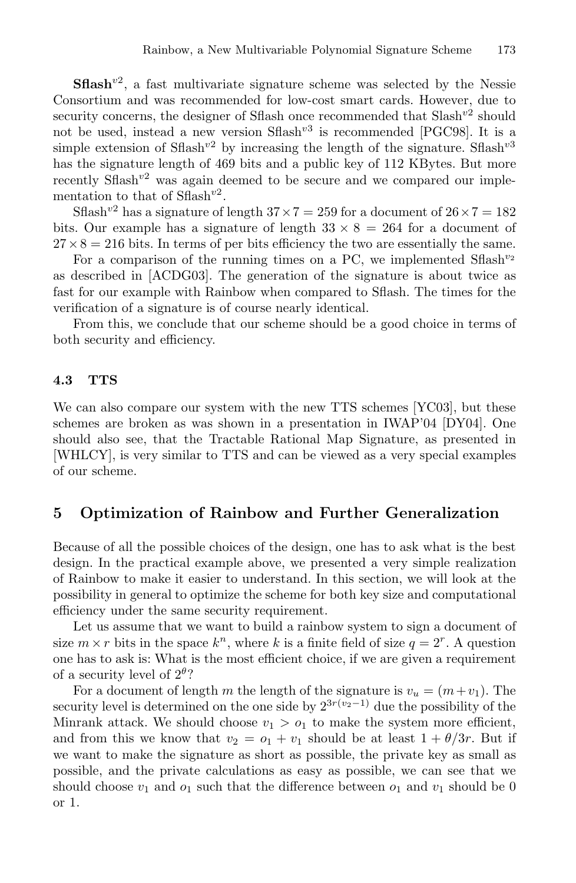**Sflash**<sup>v2</sup>, a fast multivariate signature scheme was selected by the Nessie Consortium and was recommended for low-cost smart cards. However, due to security concerns, the designer of Sflash once recommended that  $Slash^{v2}$  should not be used, instead a new version  $Sflash^{v3}$  is recommended [PGC98]. It is a simple extension of Sflash<sup>v2</sup> by increasing the length of the signature. Sflash<sup>v3</sup> has the signature length of 469 bits and a public key of 112 KBytes. But more recently  $Sflash^{v2}$  was again deemed to be secure and we compared our implementation to that of  $Sflash^{v2}$ .

Sflash<sup>v2</sup> has a signature of length  $37 \times 7 = 259$  for a document of  $26 \times 7 = 182$ bits. Our example has a signature of length  $33 \times 8 = 264$  for a document of  $27 \times 8 = 216$  bits. In terms of per bits efficiency the two are essentially the same.

For a comparison of the running times on a PC, we implemented  $Shash^{v_2}$ as described in [ACDG03]. The generation of the signature is about twice as fast for our example with Rainbow when compared to Sflash. The times for the verification of a signature is of course nearly identical.

From this, we conclude that our scheme should be a good choice in terms of both security and efficiency.

### **4.3 TTS**

We can also compare our system with the new TTS schemes [YC03], but these schemes are broken as was shown in a presentation in IWAP'04 [DY04]. One should also see, that the Tractable Rational Map Signature, as presented in [WHLCY], is very similar to TTS and can be viewed as a very special examples of our scheme.

## **5 Optimization of Rainbow and Further Generalization**

Because of all the possible choices of the design, one has to ask what is the best design. In the practical example above, we presented a very simple realization of Rainbow to make it easier to understand. In this section, we will look at the possibility in general to optimize the scheme for both key size and computational efficiency under the same security requirement.

Let us assume that we want to build a rainbow system to sign a document of size  $m \times r$  bits in the space  $k^n$ , where k is a finite field of size  $q = 2^r$ . A question one has to ask is: What is the most efficient choice, if we are given a requirement of a security level of  $2^{\theta}$ ?

For a document of length m the length of the signature is  $v_u = (m+v_1)$ . The security level is determined on the one side by  $2^{3r(v_2-1)}$  due the possibility of the Minrank attack. We should choose  $v_1 > o_1$  to make the system more efficient, and from this we know that  $v_2 = o_1 + v_1$  should be at least  $1 + \theta/3r$ . But if we want to make the signature as short as possible, the private key as small as possible, and the private calculations as easy as possible, we can see that we should choose  $v_1$  and  $o_1$  such that the difference between  $o_1$  and  $v_1$  should be 0 or 1.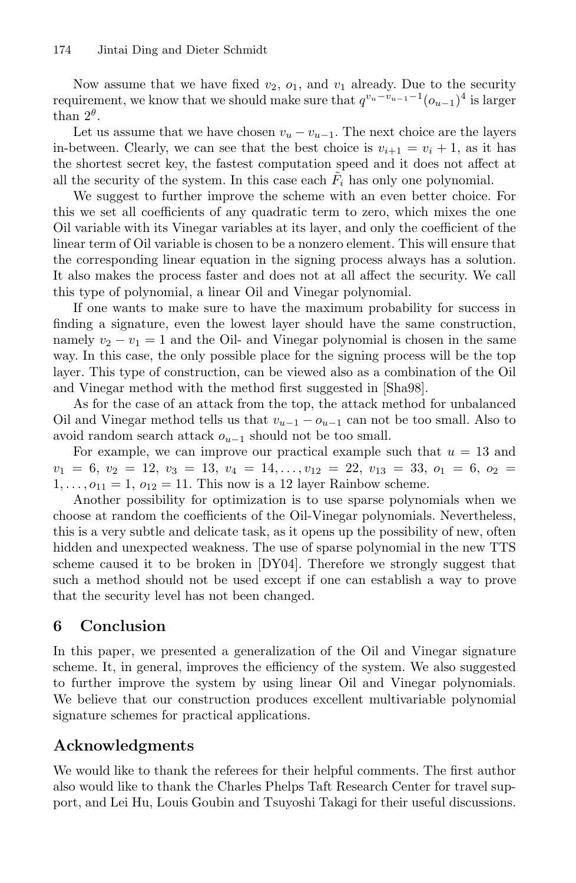Now assume that we have fixed  $v_2$ ,  $o_1$ , and  $v_1$  already. Due to the security requirement, we know that we should make sure that  $q^{v_u-v_{u-1}-1}(\mathfrak{o}_{u-1})^4$  is larger than  $2^{\theta}$ .

Let us assume that we have chosen  $v_u - v_{u-1}$ . The next choice are the layers in-between. Clearly, we can see that the best choice is  $v_{i+1} = v_i + 1$ , as it has the shortest secret key, the fastest computation speed and it does not affect at all the security of the system. In this case each  $F_i$  has only one polynomial.

We suggest to further improve the scheme with an even better choice. For this we set all coefficients of any quadratic term to zero, which mixes the one Oil variable with its Vinegar variables at its layer, and only the coefficient of the linear term of Oil variable is chosen to be a nonzero element. This will ensure that the corresponding linear equation in the signing process always has a solution. It also makes the process faster and does not at all affect the security. We call this type of polynomial, a linear Oil and Vinegar polynomial.

If one wants to make sure to have the maximum probability for success in finding a signature, even the lowest layer should have the same construction, namely  $v_2 - v_1 = 1$  and the Oil- and Vinegar polynomial is chosen in the same way. In this case, the only possible place for the signing process will be the top layer. This type of construction, can be viewed also as a combination of the Oil and Vinegar method with the method first suggested in [Sha98].

As for the case of an attack from the top, the attack method for unbalanced Oil and Vinegar method tells us that  $v_{u-1} - o_{u-1}$  can not be too small. Also to avoid random search attack  $o_{u-1}$  should not be too small.

For example, we can improve our practical example such that  $u = 13$  and  $v_1 = 6, v_2 = 12, v_3 = 13, v_4 = 14, \ldots, v_{12} = 22, v_{13} = 33, o_1 = 6, o_2 =$  $1,\ldots,o_{11}=1, o_{12}=11.$  This now is a 12 layer Rainbow scheme.

Another possibility for optimization is to use sparse polynomials when we choose at random the coefficients of the Oil-Vinegar polynomials. Nevertheless, this is a very subtle and delicate task, as it opens up the possibility of new, often hidden and unexpected weakness. The use of sparse polynomial in the new TTS scheme caused it to be broken in [DY04]. Therefore we strongly suggest that such a method should not be used except if one can establish a way to prove that the security level has not been changed.

## **6 Conclusion**

In this paper, we presented a generalization of the Oil and Vinegar signature scheme. It, in general, improves the efficiency of the system. We also suggested to further improve the system by using linear Oil and Vinegar polynomials. We believe that our construction produces excellent multivariable polynomial signature schemes for practical applications.

## **Acknowledgments**

We would like to thank the referees for their helpful comments. The first author also would like to thank the Charles Phelps Taft Research Center for travel support, and Lei Hu, Louis Goubin and Tsuyoshi Takagi for their useful discussions.